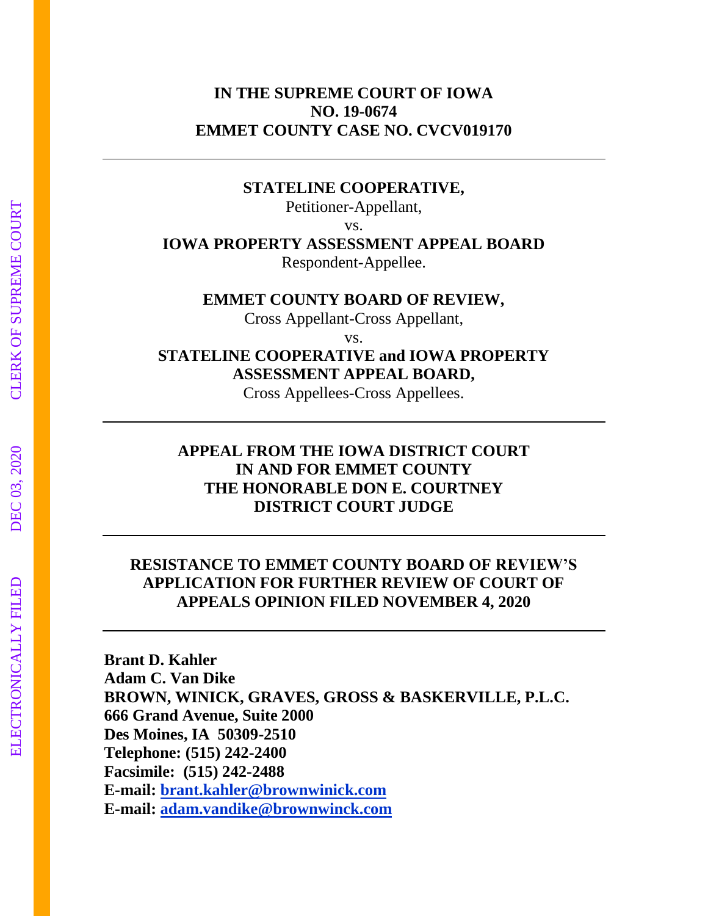## **IN THE SUPREME COURT OF IOWA NO. 19-0674 EMMET COUNTY CASE NO. CVCV019170**

### **STATELINE COOPERATIVE,**

Petitioner-Appellant,

vs.

# **IOWA PROPERTY ASSESSMENT APPEAL BOARD**

Respondent-Appellee.

## **EMMET COUNTY BOARD OF REVIEW,**

Cross Appellant-Cross Appellant,

vs.

# **STATELINE COOPERATIVE and IOWA PROPERTY ASSESSMENT APPEAL BOARD,**

Cross Appellees-Cross Appellees.

# **APPEAL FROM THE IOWA DISTRICT COURT IN AND FOR EMMET COUNTY THE HONORABLE DON E. COURTNEY DISTRICT COURT JUDGE**

# **RESISTANCE TO EMMET COUNTY BOARD OF REVIEW'S APPLICATION FOR FURTHER REVIEW OF COURT OF APPEALS OPINION FILED NOVEMBER 4, 2020**

**Brant D. Kahler Adam C. Van Dike BROWN, WINICK, GRAVES, GROSS & BASKERVILLE, P.L.C. 666 Grand Avenue, Suite 2000 Des Moines, IA 50309-2510 Telephone: (515) 242-2400 Facsimile: (515) 242-2488 E-mail: brant.kahler@brownwinick.com E-mail: adam.vandike@brownwinck.com**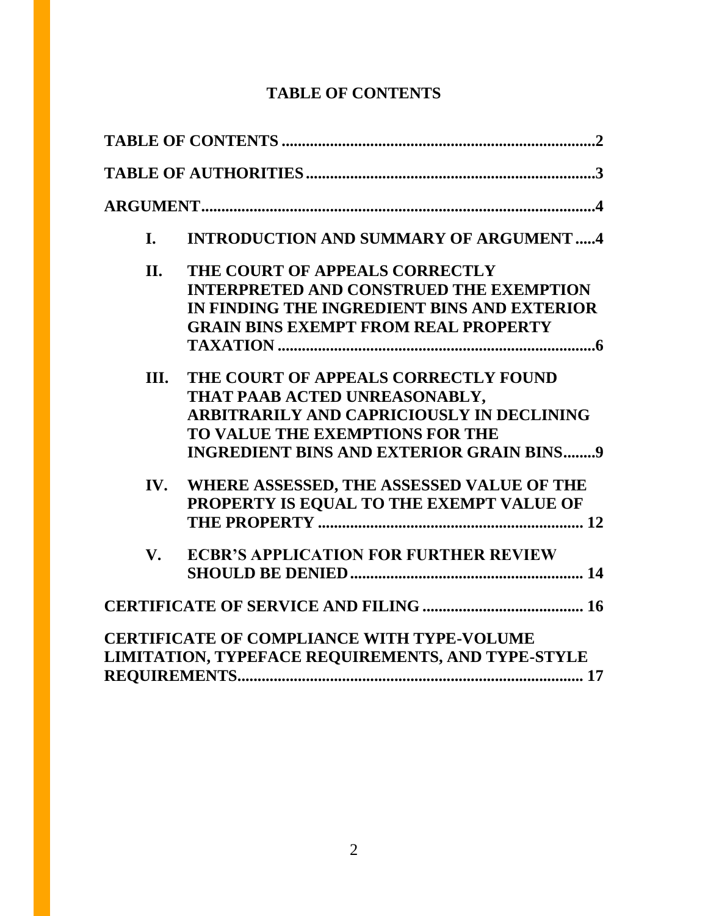# **TABLE OF CONTENTS**

| I.          | <b>INTRODUCTION AND SUMMARY OF ARGUMENT4</b>                                                                                                                                                                    |
|-------------|-----------------------------------------------------------------------------------------------------------------------------------------------------------------------------------------------------------------|
| II.         | THE COURT OF APPEALS CORRECTLY<br><b>INTERPRETED AND CONSTRUED THE EXEMPTION</b><br>IN FINDING THE INGREDIENT BINS AND EXTERIOR<br><b>GRAIN BINS EXEMPT FROM REAL PROPERTY</b>                                  |
| Ш.          | THE COURT OF APPEALS CORRECTLY FOUND<br>THAT PAAB ACTED UNREASONABLY,<br><b>ARBITRARILY AND CAPRICIOUSLY IN DECLINING</b><br>TO VALUE THE EXEMPTIONS FOR THE<br><b>INGREDIENT BINS AND EXTERIOR GRAIN BINS9</b> |
| IV.         | WHERE ASSESSED, THE ASSESSED VALUE OF THE<br>PROPERTY IS EQUAL TO THE EXEMPT VALUE OF                                                                                                                           |
| $V_{\star}$ | <b>ECBR'S APPLICATION FOR FURTHER REVIEW</b>                                                                                                                                                                    |
|             |                                                                                                                                                                                                                 |
|             | <b>CERTIFICATE OF COMPLIANCE WITH TYPE-VOLUME</b><br>LIMITATION, TYPEFACE REQUIREMENTS, AND TYPE-STYLE                                                                                                          |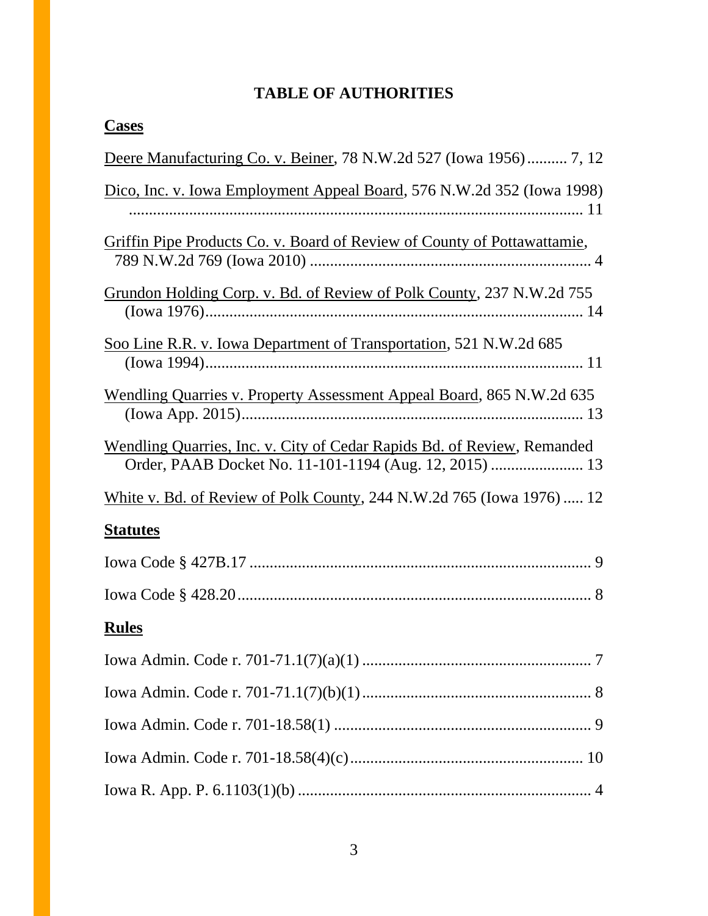# **TABLE OF AUTHORITIES**

| <b>Cases</b>                                                                 |  |
|------------------------------------------------------------------------------|--|
| Deere Manufacturing Co. v. Beiner, 78 N.W.2d 527 (Iowa 1956) 7, 12           |  |
| Dico, Inc. v. Iowa Employment Appeal Board, 576 N.W.2d 352 (Iowa 1998)       |  |
| Griffin Pipe Products Co. v. Board of Review of County of Pottawattamie,     |  |
| Grundon Holding Corp. v. Bd. of Review of Polk County, 237 N.W.2d 755        |  |
| Soo Line R.R. v. Iowa Department of Transportation, 521 N.W.2d 685           |  |
| <b>Wendling Quarries v. Property Assessment Appeal Board, 865 N.W.2d 635</b> |  |
| Wendling Quarries, Inc. v. City of Cedar Rapids Bd. of Review, Remanded      |  |
| White v. Bd. of Review of Polk County, 244 N.W.2d 765 (Iowa 1976)  12        |  |
| <b>Statutes</b>                                                              |  |
|                                                                              |  |
|                                                                              |  |
| <b>Rules</b>                                                                 |  |
|                                                                              |  |
|                                                                              |  |
|                                                                              |  |
|                                                                              |  |
|                                                                              |  |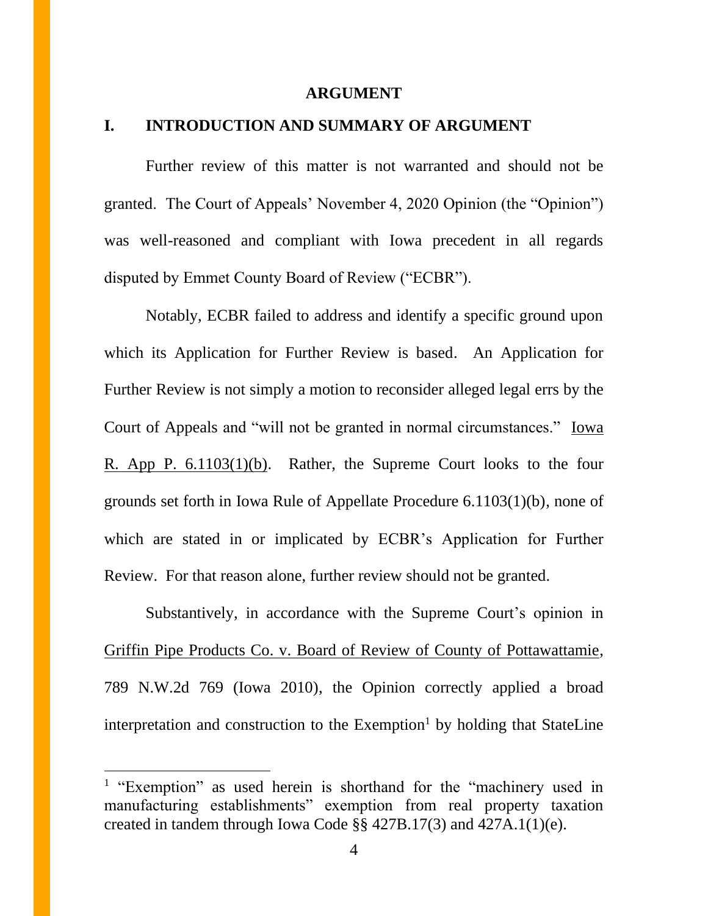#### **ARGUMENT**

### **I. INTRODUCTION AND SUMMARY OF ARGUMENT**

Further review of this matter is not warranted and should not be granted. The Court of Appeals' November 4, 2020 Opinion (the "Opinion") was well-reasoned and compliant with Iowa precedent in all regards disputed by Emmet County Board of Review ("ECBR").

Notably, ECBR failed to address and identify a specific ground upon which its Application for Further Review is based. An Application for Further Review is not simply a motion to reconsider alleged legal errs by the Court of Appeals and "will not be granted in normal circumstances." Iowa R. App P. 6.1103(1)(b). Rather, the Supreme Court looks to the four grounds set forth in Iowa Rule of Appellate Procedure 6.1103(1)(b), none of which are stated in or implicated by ECBR's Application for Further Review. For that reason alone, further review should not be granted.

Substantively, in accordance with the Supreme Court's opinion in Griffin Pipe Products Co. v. Board of Review of County of Pottawattamie, 789 N.W.2d 769 (Iowa 2010), the Opinion correctly applied a broad interpretation and construction to the  $Exemption<sup>1</sup>$  by holding that StateLine

<sup>&</sup>lt;sup>1</sup> "Exemption" as used herein is shorthand for the "machinery used in manufacturing establishments" exemption from real property taxation created in tandem through Iowa Code §§ 427B.17(3) and 427A.1(1)(e).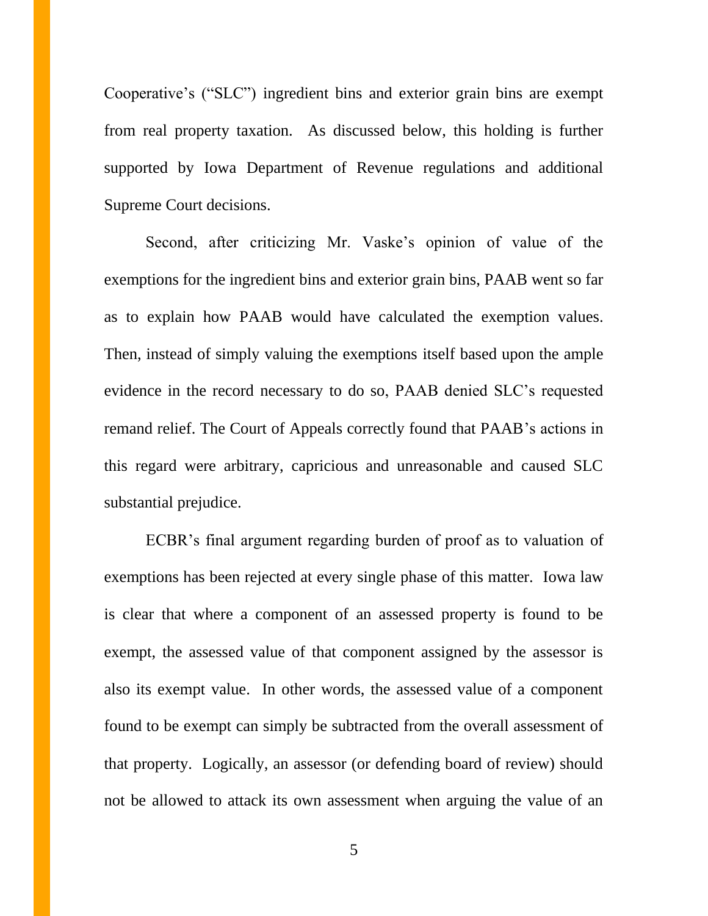Cooperative's ("SLC") ingredient bins and exterior grain bins are exempt from real property taxation. As discussed below, this holding is further supported by Iowa Department of Revenue regulations and additional Supreme Court decisions.

Second, after criticizing Mr. Vaske's opinion of value of the exemptions for the ingredient bins and exterior grain bins, PAAB went so far as to explain how PAAB would have calculated the exemption values. Then, instead of simply valuing the exemptions itself based upon the ample evidence in the record necessary to do so, PAAB denied SLC's requested remand relief. The Court of Appeals correctly found that PAAB's actions in this regard were arbitrary, capricious and unreasonable and caused SLC substantial prejudice.

ECBR's final argument regarding burden of proof as to valuation of exemptions has been rejected at every single phase of this matter. Iowa law is clear that where a component of an assessed property is found to be exempt, the assessed value of that component assigned by the assessor is also its exempt value. In other words, the assessed value of a component found to be exempt can simply be subtracted from the overall assessment of that property. Logically, an assessor (or defending board of review) should not be allowed to attack its own assessment when arguing the value of an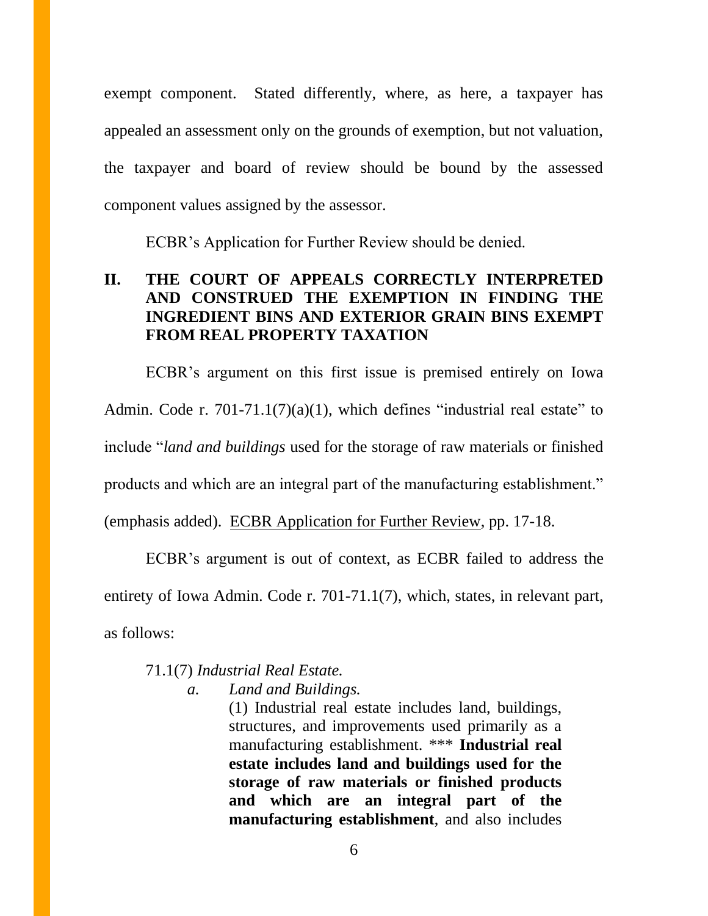exempt component. Stated differently, where, as here, a taxpayer has appealed an assessment only on the grounds of exemption, but not valuation, the taxpayer and board of review should be bound by the assessed component values assigned by the assessor.

ECBR's Application for Further Review should be denied.

# **II. THE COURT OF APPEALS CORRECTLY INTERPRETED AND CONSTRUED THE EXEMPTION IN FINDING THE INGREDIENT BINS AND EXTERIOR GRAIN BINS EXEMPT FROM REAL PROPERTY TAXATION**

ECBR's argument on this first issue is premised entirely on Iowa Admin. Code r.  $701-71.1(7)(a)(1)$ , which defines "industrial real estate" to include "*land and buildings* used for the storage of raw materials or finished products and which are an integral part of the manufacturing establishment." (emphasis added). ECBR Application for Further Review, pp. 17-18.

ECBR's argument is out of context, as ECBR failed to address the entirety of Iowa Admin. Code r. 701-71.1(7), which, states, in relevant part, as follows:

## 71.1(7) *Industrial Real Estate.*

*a. Land and Buildings.* 

(1) Industrial real estate includes land, buildings, structures, and improvements used primarily as a manufacturing establishment. \*\*\* **Industrial real estate includes land and buildings used for the storage of raw materials or finished products and which are an integral part of the manufacturing establishment**, and also includes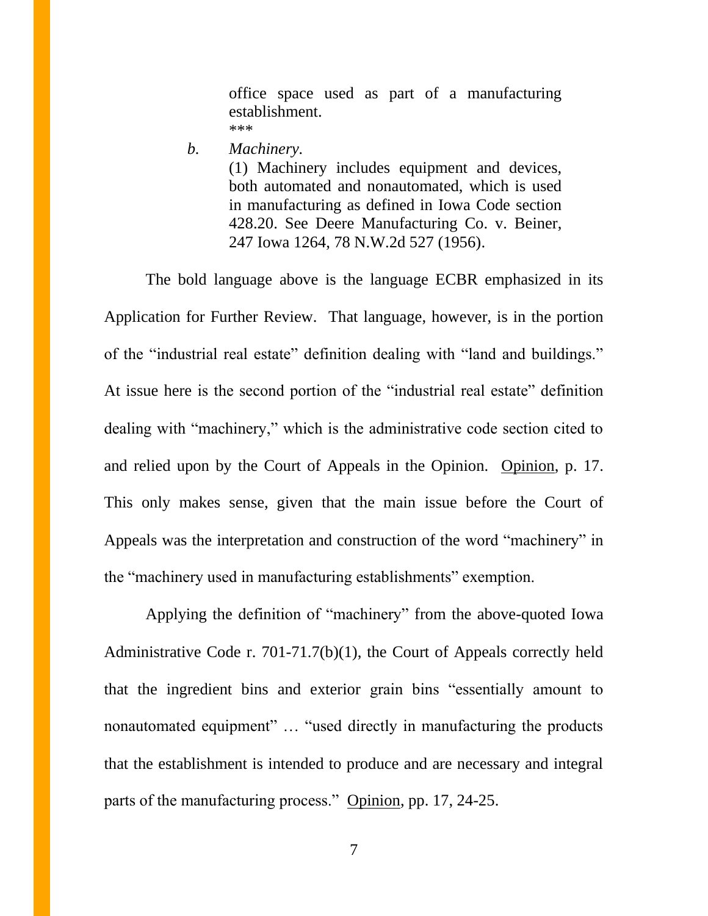office space used as part of a manufacturing establishment. \*\*\*

*b. Machinery.*

(1) Machinery includes equipment and devices, both automated and nonautomated, which is used in manufacturing as defined in Iowa Code section 428.20. See Deere Manufacturing Co. v. Beiner, 247 Iowa 1264, 78 N.W.2d 527 (1956).

The bold language above is the language ECBR emphasized in its Application for Further Review. That language, however, is in the portion of the "industrial real estate" definition dealing with "land and buildings." At issue here is the second portion of the "industrial real estate" definition dealing with "machinery," which is the administrative code section cited to and relied upon by the Court of Appeals in the Opinion. Opinion, p. 17. This only makes sense, given that the main issue before the Court of Appeals was the interpretation and construction of the word "machinery" in the "machinery used in manufacturing establishments" exemption.

Applying the definition of "machinery" from the above-quoted Iowa Administrative Code r. 701-71.7(b)(1), the Court of Appeals correctly held that the ingredient bins and exterior grain bins "essentially amount to nonautomated equipment" … "used directly in manufacturing the products that the establishment is intended to produce and are necessary and integral parts of the manufacturing process." Opinion, pp. 17, 24-25.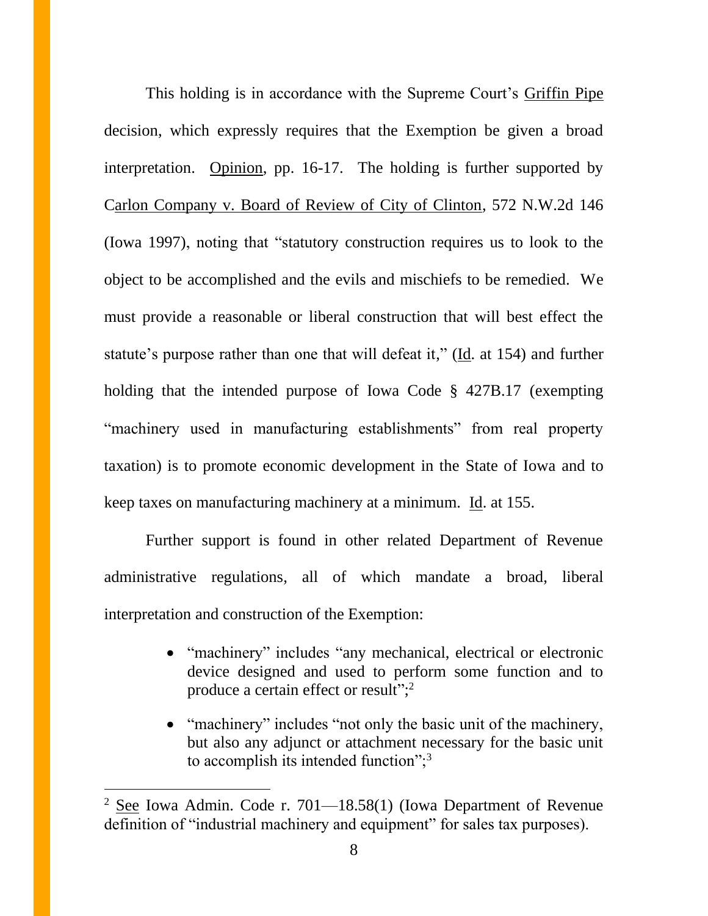This holding is in accordance with the Supreme Court's Griffin Pipe decision, which expressly requires that the Exemption be given a broad interpretation. Opinion, pp. 16-17. The holding is further supported by Carlon Company v. Board of Review of City of Clinton, 572 N.W.2d 146 (Iowa 1997), noting that "statutory construction requires us to look to the object to be accomplished and the evils and mischiefs to be remedied. We must provide a reasonable or liberal construction that will best effect the statute's purpose rather than one that will defeat it," (Id. at 154) and further holding that the intended purpose of Iowa Code § 427B.17 (exempting "machinery used in manufacturing establishments" from real property taxation) is to promote economic development in the State of Iowa and to keep taxes on manufacturing machinery at a minimum. Id. at 155.

Further support is found in other related Department of Revenue administrative regulations, all of which mandate a broad, liberal interpretation and construction of the Exemption:

- "machinery" includes "any mechanical, electrical or electronic device designed and used to perform some function and to produce a certain effect or result";<sup>2</sup>
- "machinery" includes "not only the basic unit of the machinery, but also any adjunct or attachment necessary for the basic unit to accomplish its intended function";<sup>3</sup>

<sup>2</sup> See Iowa Admin. Code r. 701—18.58(1) (Iowa Department of Revenue definition of "industrial machinery and equipment" for sales tax purposes).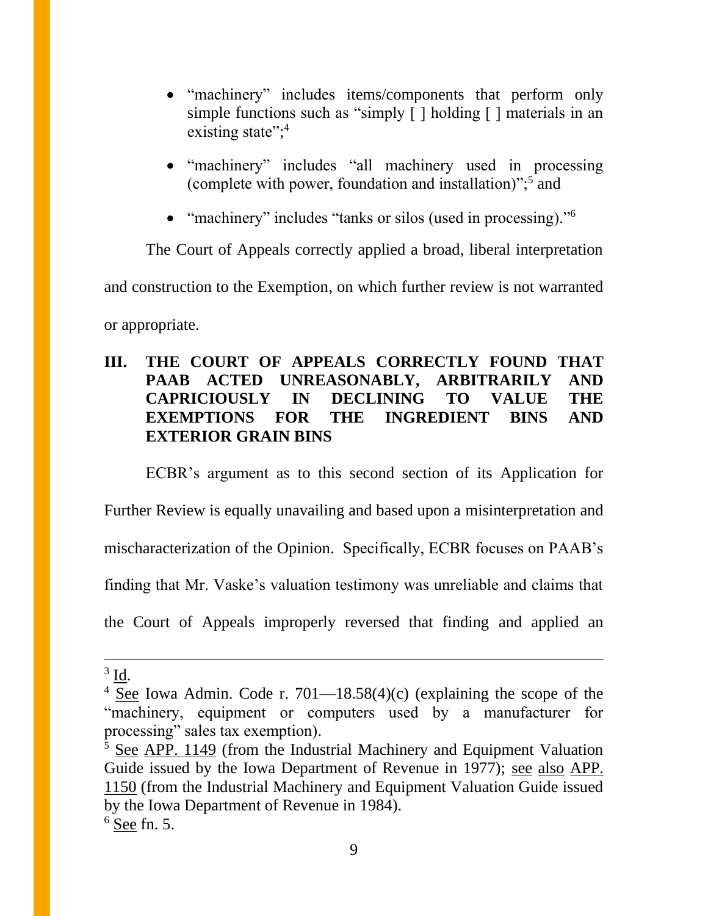- "machinery" includes items/components that perform only simple functions such as "simply [] holding [] materials in an existing state";<sup>4</sup>
- "machinery" includes "all machinery used in processing (complete with power, foundation and installation)";<sup>5</sup> and
- "machinery" includes "tanks or silos (used in processing)."<sup>6</sup>

The Court of Appeals correctly applied a broad, liberal interpretation and construction to the Exemption, on which further review is not warranted

or appropriate.

# **III. THE COURT OF APPEALS CORRECTLY FOUND THAT PAAB ACTED UNREASONABLY, ARBITRARILY AND CAPRICIOUSLY IN DECLINING TO VALUE THE EXEMPTIONS FOR THE INGREDIENT BINS AND EXTERIOR GRAIN BINS**

ECBR's argument as to this second section of its Application for Further Review is equally unavailing and based upon a misinterpretation and mischaracterization of the Opinion. Specifically, ECBR focuses on PAAB's finding that Mr. Vaske's valuation testimony was unreliable and claims that the Court of Appeals improperly reversed that finding and applied an

 $3 \underline{\text{Id}}$ .

<sup>&</sup>lt;sup>4</sup> See Iowa Admin. Code r. 701—18.58(4)(c) (explaining the scope of the "machinery, equipment or computers used by a manufacturer for processing" sales tax exemption).

<sup>5</sup> See APP. 1149 (from the Industrial Machinery and Equipment Valuation Guide issued by the Iowa Department of Revenue in 1977); see also APP. 1150 (from the Industrial Machinery and Equipment Valuation Guide issued by the Iowa Department of Revenue in 1984).  $6$  See fn. 5.

<sup>9</sup>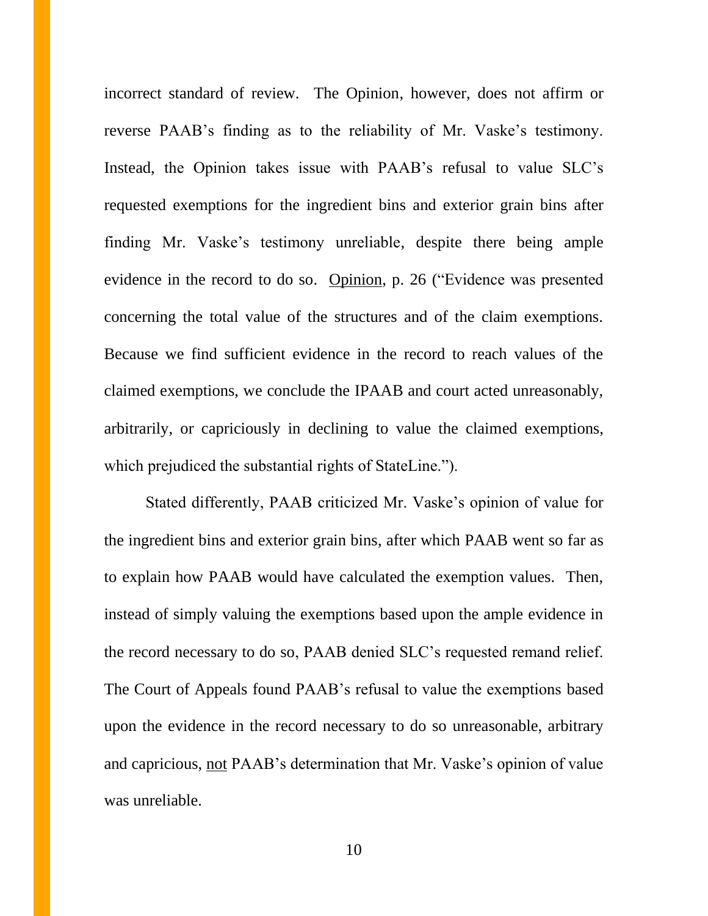incorrect standard of review. The Opinion, however, does not affirm or reverse PAAB's finding as to the reliability of Mr. Vaske's testimony. Instead, the Opinion takes issue with PAAB's refusal to value SLC's requested exemptions for the ingredient bins and exterior grain bins after finding Mr. Vaske's testimony unreliable, despite there being ample evidence in the record to do so. Opinion, p. 26 ("Evidence was presented concerning the total value of the structures and of the claim exemptions. Because we find sufficient evidence in the record to reach values of the claimed exemptions, we conclude the IPAAB and court acted unreasonably, arbitrarily, or capriciously in declining to value the claimed exemptions, which prejudiced the substantial rights of StateLine.").

Stated differently, PAAB criticized Mr. Vaske's opinion of value for the ingredient bins and exterior grain bins, after which PAAB went so far as to explain how PAAB would have calculated the exemption values. Then, instead of simply valuing the exemptions based upon the ample evidence in the record necessary to do so, PAAB denied SLC's requested remand relief. The Court of Appeals found PAAB's refusal to value the exemptions based upon the evidence in the record necessary to do so unreasonable, arbitrary and capricious, not PAAB's determination that Mr. Vaske's opinion of value was unreliable.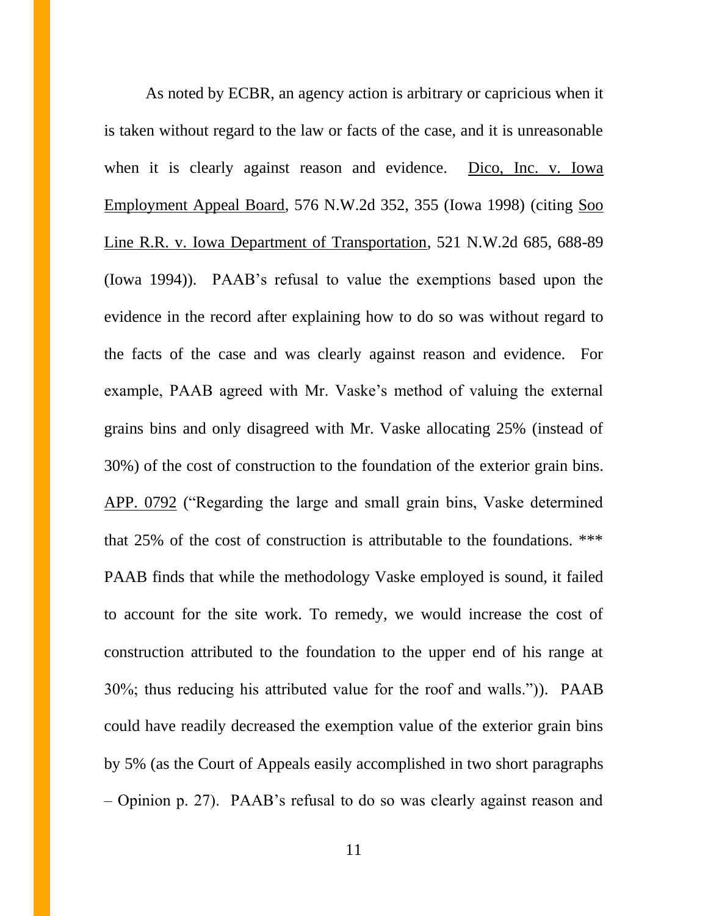As noted by ECBR, an agency action is arbitrary or capricious when it is taken without regard to the law or facts of the case, and it is unreasonable when it is clearly against reason and evidence. Dico, Inc. v. Iowa Employment Appeal Board, 576 N.W.2d 352, 355 (Iowa 1998) (citing Soo Line R.R. v. Iowa Department of Transportation, 521 N.W.2d 685, 688-89 (Iowa 1994)). PAAB's refusal to value the exemptions based upon the evidence in the record after explaining how to do so was without regard to the facts of the case and was clearly against reason and evidence. For example, PAAB agreed with Mr. Vaske's method of valuing the external grains bins and only disagreed with Mr. Vaske allocating 25% (instead of 30%) of the cost of construction to the foundation of the exterior grain bins. APP. 0792 ("Regarding the large and small grain bins, Vaske determined that 25% of the cost of construction is attributable to the foundations. \*\*\* PAAB finds that while the methodology Vaske employed is sound, it failed to account for the site work. To remedy, we would increase the cost of construction attributed to the foundation to the upper end of his range at 30%; thus reducing his attributed value for the roof and walls.")). PAAB could have readily decreased the exemption value of the exterior grain bins by 5% (as the Court of Appeals easily accomplished in two short paragraphs – Opinion p. 27). PAAB's refusal to do so was clearly against reason and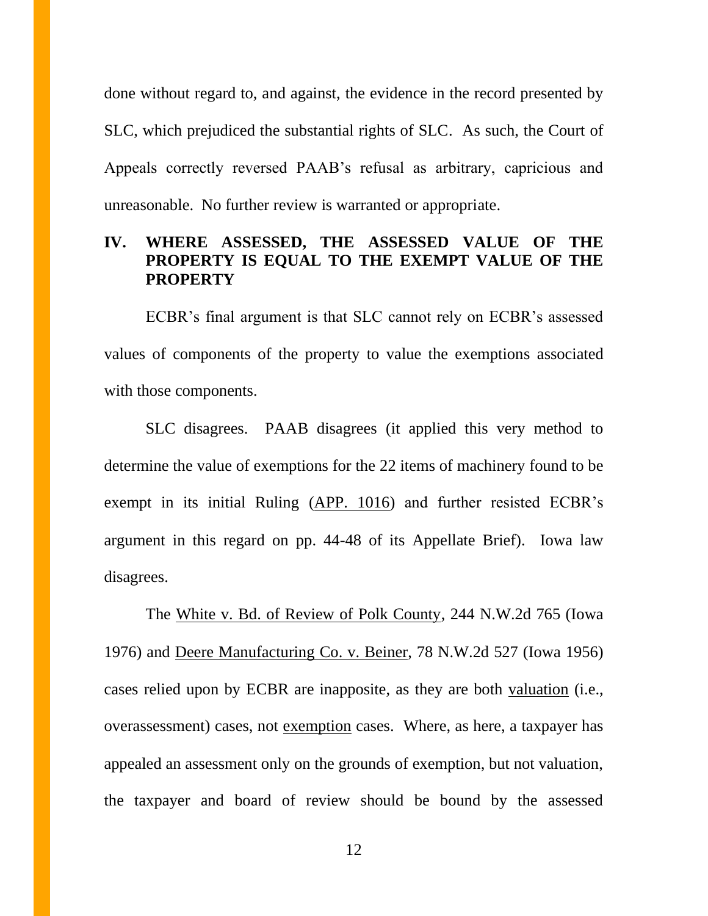done without regard to, and against, the evidence in the record presented by SLC, which prejudiced the substantial rights of SLC. As such, the Court of Appeals correctly reversed PAAB's refusal as arbitrary, capricious and unreasonable. No further review is warranted or appropriate.

# **IV. WHERE ASSESSED, THE ASSESSED VALUE OF THE PROPERTY IS EQUAL TO THE EXEMPT VALUE OF THE PROPERTY**

ECBR's final argument is that SLC cannot rely on ECBR's assessed values of components of the property to value the exemptions associated with those components.

SLC disagrees. PAAB disagrees (it applied this very method to determine the value of exemptions for the 22 items of machinery found to be exempt in its initial Ruling (APP. 1016) and further resisted ECBR's argument in this regard on pp. 44-48 of its Appellate Brief). Iowa law disagrees.

The White v. Bd. of Review of Polk County, 244 N.W.2d 765 (Iowa 1976) and Deere Manufacturing Co. v. Beiner, 78 N.W.2d 527 (Iowa 1956) cases relied upon by ECBR are inapposite, as they are both valuation (i.e., overassessment) cases, not exemption cases. Where, as here, a taxpayer has appealed an assessment only on the grounds of exemption, but not valuation, the taxpayer and board of review should be bound by the assessed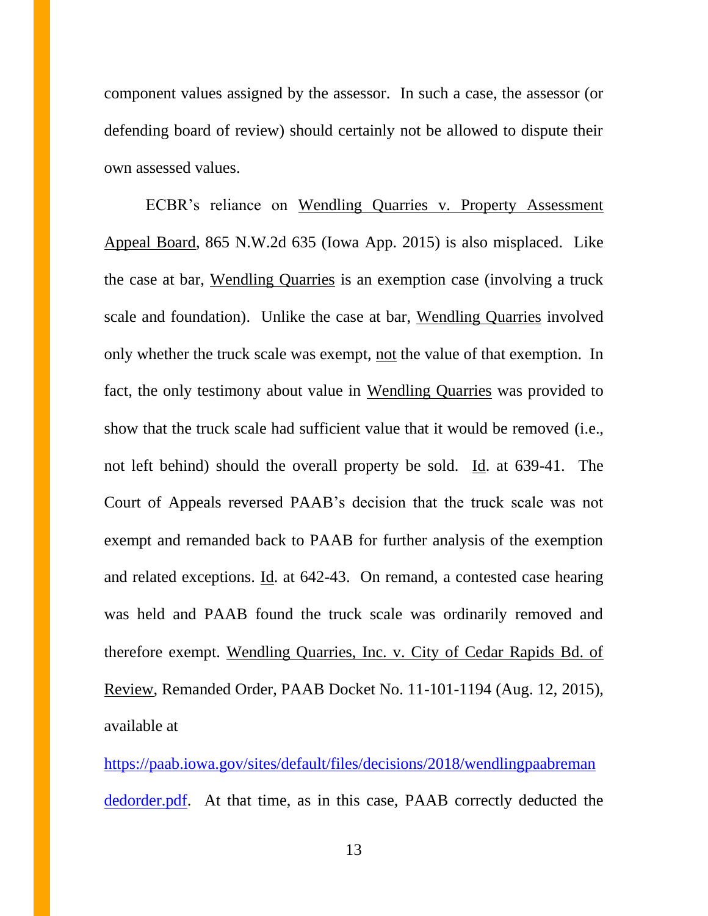component values assigned by the assessor. In such a case, the assessor (or defending board of review) should certainly not be allowed to dispute their own assessed values.

ECBR's reliance on Wendling Quarries v. Property Assessment Appeal Board, 865 N.W.2d 635 (Iowa App. 2015) is also misplaced. Like the case at bar, Wendling Quarries is an exemption case (involving a truck scale and foundation). Unlike the case at bar, Wendling Quarries involved only whether the truck scale was exempt, not the value of that exemption. In fact, the only testimony about value in Wendling Quarries was provided to show that the truck scale had sufficient value that it would be removed (i.e., not left behind) should the overall property be sold. Id. at 639-41. The Court of Appeals reversed PAAB's decision that the truck scale was not exempt and remanded back to PAAB for further analysis of the exemption and related exceptions. <u>Id</u>. at 642-43. On remand, a contested case hearing was held and PAAB found the truck scale was ordinarily removed and therefore exempt. Wendling Quarries, Inc. v. City of Cedar Rapids Bd. of Review, Remanded Order, PAAB Docket No. 11-101-1194 (Aug. 12, 2015), available at

[https://paab.iowa.gov/sites/default/files/decisions/2018/wendlingpaabreman](https://paab.iowa.gov/sites/default/files/decisions/2018/wendlingpaabremandedorder.pdf) [dedorder.pdf.](https://paab.iowa.gov/sites/default/files/decisions/2018/wendlingpaabremandedorder.pdf) At that time, as in this case, PAAB correctly deducted the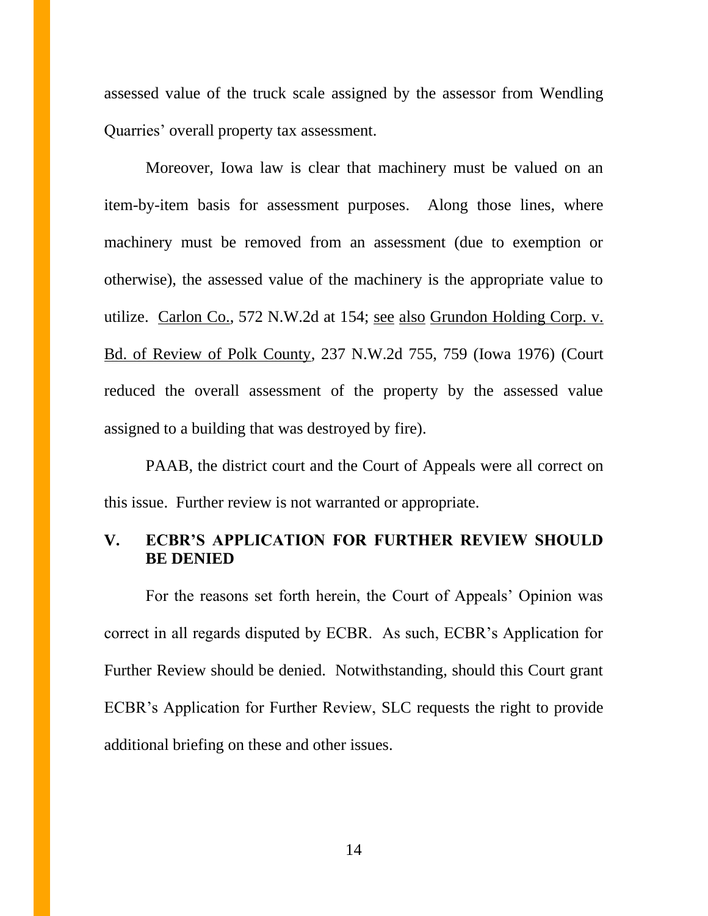assessed value of the truck scale assigned by the assessor from Wendling Quarries' overall property tax assessment.

Moreover, Iowa law is clear that machinery must be valued on an item-by-item basis for assessment purposes. Along those lines, where machinery must be removed from an assessment (due to exemption or otherwise), the assessed value of the machinery is the appropriate value to utilize. Carlon Co., 572 N.W.2d at 154; see also Grundon Holding Corp. v. Bd. of Review of Polk County, 237 N.W.2d 755, 759 (Iowa 1976) (Court reduced the overall assessment of the property by the assessed value assigned to a building that was destroyed by fire).

PAAB, the district court and the Court of Appeals were all correct on this issue. Further review is not warranted or appropriate.

## **V. ECBR'S APPLICATION FOR FURTHER REVIEW SHOULD BE DENIED**

For the reasons set forth herein, the Court of Appeals' Opinion was correct in all regards disputed by ECBR. As such, ECBR's Application for Further Review should be denied. Notwithstanding, should this Court grant ECBR's Application for Further Review, SLC requests the right to provide additional briefing on these and other issues.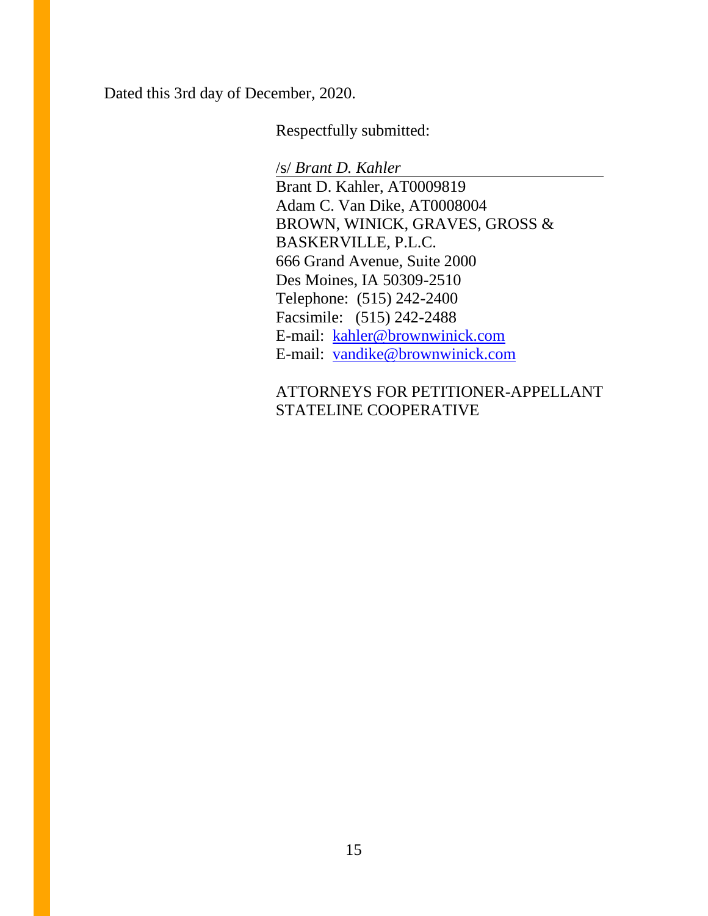Dated this 3rd day of December, 2020.

Respectfully submitted:

/s/ *Brant D. Kahler*

Brant D. Kahler, AT0009819 Adam C. Van Dike, AT0008004 BROWN, WINICK, GRAVES, GROSS & BASKERVILLE, P.L.C. 666 Grand Avenue, Suite 2000 Des Moines, IA 50309-2510 Telephone: (515) 242-2400 Facsimile: (515) 242-2488 E-mail: [kahler@brownwinick.com](mailto:kahler@brownwinick.com) E-mail: [vandike@brownwinick.com](mailto:vandike@brownwinick.com)

ATTORNEYS FOR PETITIONER-APPELLANT STATELINE COOPERATIVE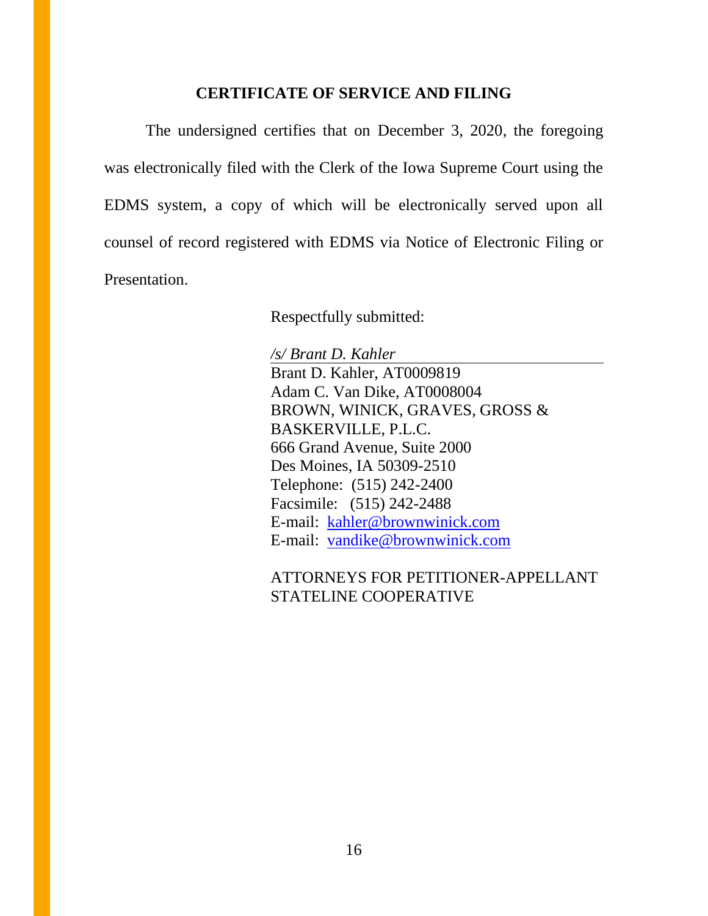## **CERTIFICATE OF SERVICE AND FILING**

The undersigned certifies that on December 3, 2020, the foregoing was electronically filed with the Clerk of the Iowa Supreme Court using the EDMS system, a copy of which will be electronically served upon all counsel of record registered with EDMS via Notice of Electronic Filing or Presentation.

Respectfully submitted:

*/s/ Brant D. Kahler* Brant D. Kahler, AT0009819 Adam C. Van Dike, AT0008004 BROWN, WINICK, GRAVES, GROSS & BASKERVILLE, P.L.C. 666 Grand Avenue, Suite 2000 Des Moines, IA 50309-2510 Telephone: (515) 242-2400 Facsimile: (515) 242-2488 E-mail: [kahler@brownwinick.com](mailto:kahler@brownwinick.com) E-mail: [vandike@brownwinick.com](mailto:vandike@brownwinick.com)

ATTORNEYS FOR PETITIONER-APPELLANT STATELINE COOPERATIVE